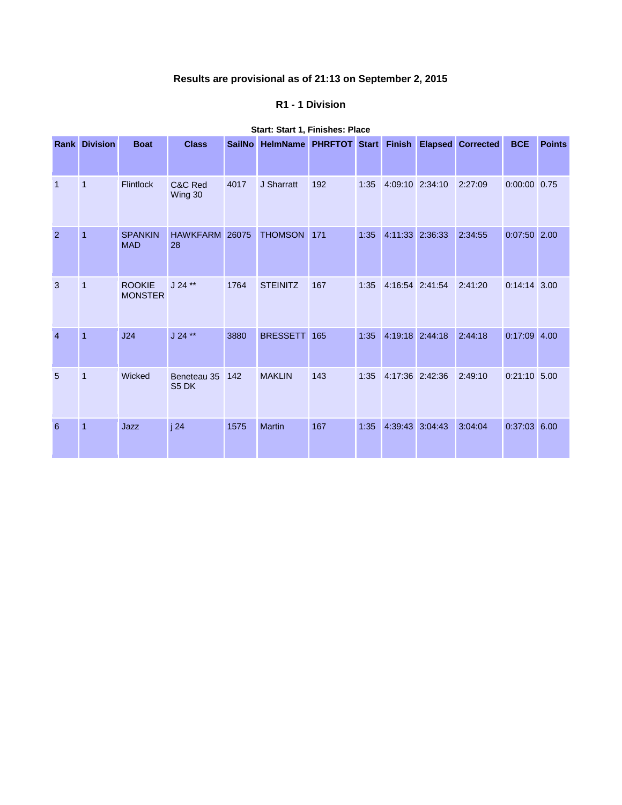# **Results are provisional as of 21:13 on September 2, 2015**

## **R1 - 1 Division**

|                | <b>Rank Division</b> | <b>Boat</b>                     | <b>Class</b>         | <b>SailNo</b> | <b>HelmName</b> | PHRFTOT Start |      | <b>Finish</b>   |         | <b>Elapsed Corrected</b> | <b>BCE</b>     | <b>Points</b> |
|----------------|----------------------|---------------------------------|----------------------|---------------|-----------------|---------------|------|-----------------|---------|--------------------------|----------------|---------------|
| $\mathbf{1}$   | $\overline{1}$       | <b>Flintlock</b>                | C&C Red<br>Wing 30   | 4017          | J Sharratt      | 192           | 1:35 | 4:09:10 2:34:10 |         | 2:27:09                  | $0:00:00$ 0.75 |               |
| $\overline{2}$ | $\overline{1}$       | <b>SPANKIN</b><br><b>MAD</b>    | HAWKFARM 26075<br>28 |               | <b>THOMSON</b>  | 171           | 1:35 | 4:11:33 2:36:33 |         | 2:34:55                  | $0:07:50$ 2.00 |               |
| 3              | $\overline{1}$       | <b>ROOKIE</b><br><b>MONSTER</b> | $J 24$ **            | 1764          | <b>STEINITZ</b> | 167           | 1:35 | 4:16:54 2:41:54 |         | 2:41:20                  | $0:14:14$ 3.00 |               |
| $\overline{4}$ | $\overline{1}$       | J24                             | $J 24$ **            | 3880          | <b>BRESSETT</b> | 165           | 1:35 | 4:19:18 2:44:18 |         | 2:44:18                  | $0:17:09$ 4.00 |               |
| 5              | $\overline{1}$       | Wicked                          | Beneteau 35<br>S5 DK | 142           | <b>MAKLIN</b>   | 143           | 1:35 | 4:17:36 2:42:36 |         | 2:49:10                  | $0:21:10$ 5.00 |               |
| 6              | $\overline{1}$       | Jazz                            | j24                  | 1575          | <b>Martin</b>   | 167           | 1:35 | 4:39:43         | 3:04:43 | 3:04:04                  | 0:37:03        | 6.00          |

## **Start: Start 1, Finishes: Place**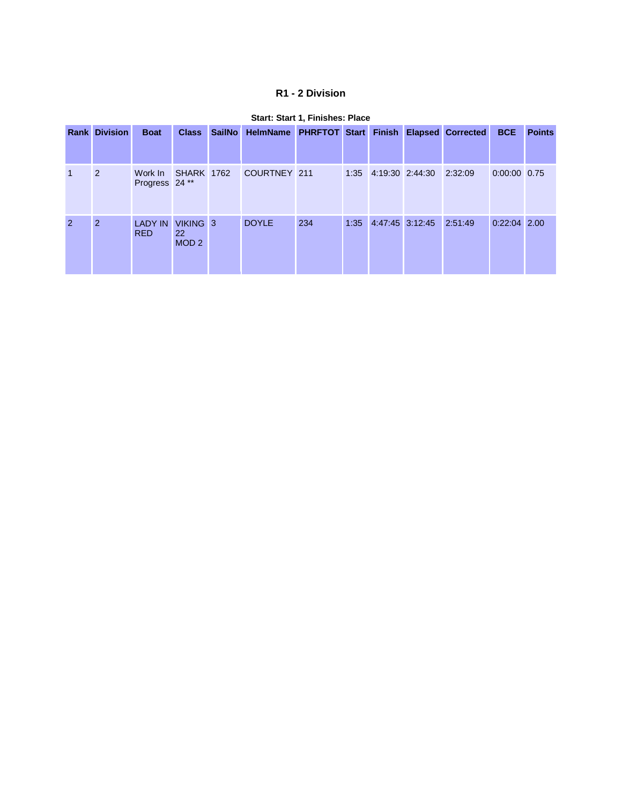# **R1 - 2 Division**

|                | <b>Rank Division</b> | <b>Boat</b>                                     | <b>Class</b>                              | SailNo HelmName PHRFTOT Start Finish Elapsed Corrected |     |      |                              | <b>BCE</b>     | <b>Points</b> |
|----------------|----------------------|-------------------------------------------------|-------------------------------------------|--------------------------------------------------------|-----|------|------------------------------|----------------|---------------|
| $\overline{1}$ | 2                    | Work In SHARK 1762<br>Progress 24 <sup>**</sup> |                                           | COURTNEY 211                                           |     |      | 1:35 4:19:30 2:44:30 2:32:09 | 0:00:00 0.75   |               |
| $\overline{2}$ | 2                    | <b>LADY IN</b><br><b>RED</b>                    | VIKING 3<br><b>22</b><br>MOD <sub>2</sub> | <b>DOYLE</b>                                           | 234 | 1:35 | 4:47:45 3:12:45 2:51:49      | $0:22:04$ 2.00 |               |

#### **Start: Start 1, Finishes: Place**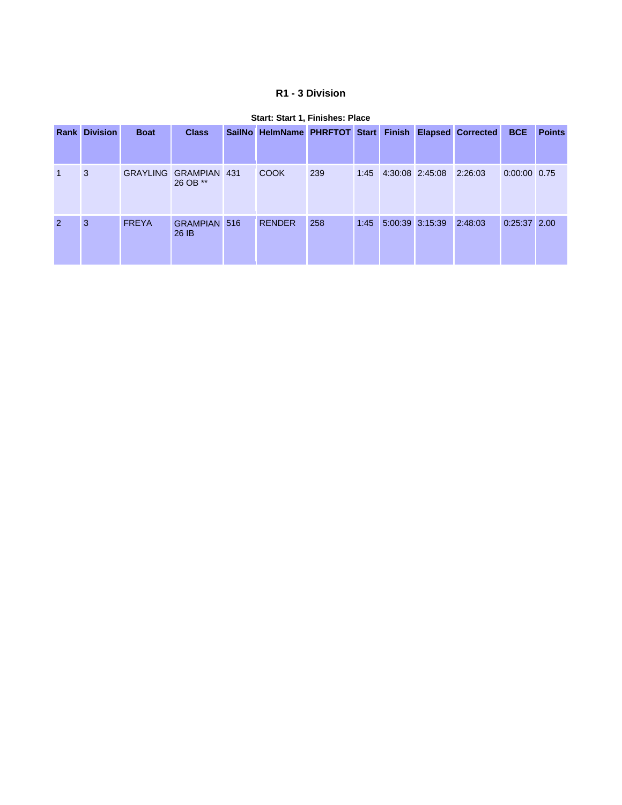# **R1 - 3 Division**

| <b>Rank</b>    | <b>Division</b> | <b>Boat</b>  | <b>Class</b>                      | SailNo HelmName PHRFTOT Start Finish Elapsed Corrected |     |      |                              |         | <b>BCE</b>     | <b>Points</b> |
|----------------|-----------------|--------------|-----------------------------------|--------------------------------------------------------|-----|------|------------------------------|---------|----------------|---------------|
|                | 3               |              | GRAYLING GRAMPIAN 431<br>26 OB ** | <b>COOK</b>                                            | 239 |      | 1:45 4:30:08 2:45:08 2:26:03 |         | 0:00:00 0.75   |               |
| $\overline{2}$ | 3               | <b>FREYA</b> | <b>GRAMPIAN 516</b><br>26 IB      | <b>RENDER</b>                                          | 258 | 1:45 | 5:00:39 3:15:39              | 2:48:03 | $0:25:37$ 2.00 |               |

### **Start: Start 1, Finishes: Place**